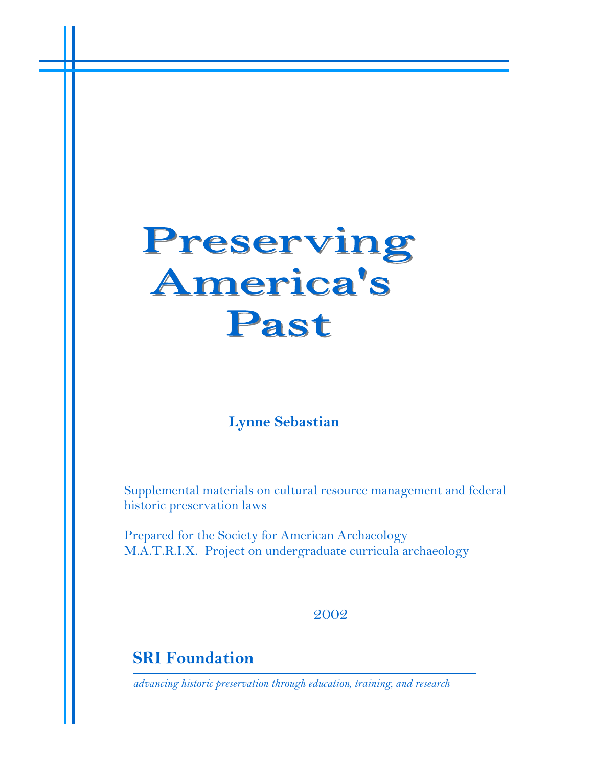# Preserving **America's** Past

# **Lynne Sebastian**

Supplemental materials on cultural resource management and federal historic preservation laws

Prepared for the Society for American Archaeology M.A.T.R.I.X. Project on undergraduate curricula archaeology

2002

**SRI Foundation**

*advancing historic preservation through education, training, and research*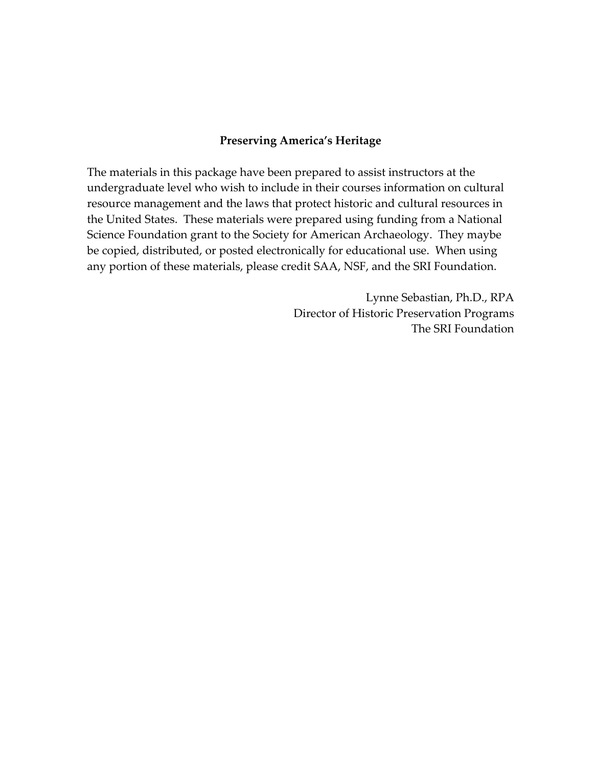#### **Preserving America's Heritage**

The materials in this package have been prepared to assist instructors at the undergraduate level who wish to include in their courses information on cultural resource management and the laws that protect historic and cultural resources in the United States. These materials were prepared using funding from a National Science Foundation grant to the Society for American Archaeology. They maybe be copied, distributed, or posted electronically for educational use. When using any portion of these materials, please credit SAA, NSF, and the SRI Foundation.

> Lynne Sebastian, Ph.D., RPA Director of Historic Preservation Programs The SRI Foundation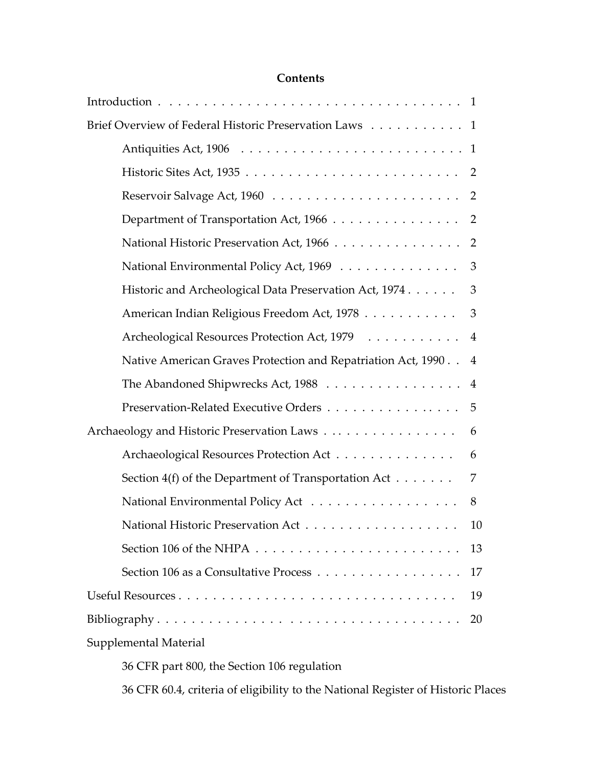| Brief Overview of Federal Historic Preservation Laws 1            |    |
|-------------------------------------------------------------------|----|
|                                                                   |    |
|                                                                   |    |
|                                                                   |    |
| Department of Transportation Act, 1966 2                          |    |
| National Historic Preservation Act, 1966 2                        |    |
| National Environmental Policy Act, 1969 3                         |    |
| Historic and Archeological Data Preservation Act, 1974 3          |    |
| American Indian Religious Freedom Act, 1978 3                     |    |
| Archeological Resources Protection Act, 1979 4                    |    |
| Native American Graves Protection and Repatriation Act, 1990. . 4 |    |
| The Abandoned Shipwrecks Act, 1988 4                              |    |
| Preservation-Related Executive Orders 5                           |    |
| Archaeology and Historic Preservation Laws                        | 6  |
| Archaeological Resources Protection Act                           | 6  |
| Section $4(f)$ of the Department of Transportation Act            | 7  |
|                                                                   | 8  |
|                                                                   | 10 |
|                                                                   | 13 |
|                                                                   | 17 |
|                                                                   | 19 |
|                                                                   | 20 |
| Supplemental Material                                             |    |
|                                                                   |    |

36 CFR part 800, the Section 106 regulation

36 CFR 60.4, criteria of eligibility to the National Register of Historic Places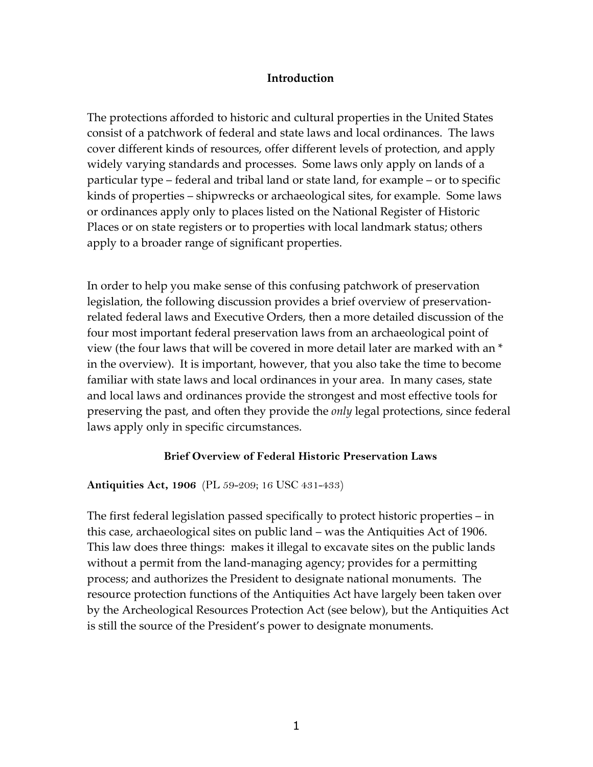## **Introduction**

The protections afforded to historic and cultural properties in the United States consist of a patchwork of federal and state laws and local ordinances. The laws cover different kinds of resources, offer different levels of protection, and apply widely varying standards and processes. Some laws only apply on lands of a particular type – federal and tribal land or state land, for example – or to specific kinds of properties – shipwrecks or archaeological sites, for example. Some laws or ordinances apply only to places listed on the National Register of Historic Places or on state registers or to properties with local landmark status; others apply to a broader range of significant properties.

In order to help you make sense of this confusing patchwork of preservation legislation, the following discussion provides a brief overview of preservationrelated federal laws and Executive Orders, then a more detailed discussion of the four most important federal preservation laws from an archaeological point of view (the four laws that will be covered in more detail later are marked with an \* in the overview). It is important, however, that you also take the time to become familiar with state laws and local ordinances in your area. In many cases, state and local laws and ordinances provide the strongest and most effective tools for preserving the past, and often they provide the *only* legal protections, since federal laws apply only in specific circumstances.

## **Brief Overview of Federal Historic Preservation Laws**

## **Antiquities Act, 1906** (PL 59-209; 16 USC 431-433)

The first federal legislation passed specifically to protect historic properties – in this case, archaeological sites on public land – was the Antiquities Act of 1906. This law does three things: makes it illegal to excavate sites on the public lands without a permit from the land-managing agency; provides for a permitting process; and authorizes the President to designate national monuments. The resource protection functions of the Antiquities Act have largely been taken over by the Archeological Resources Protection Act (see below), but the Antiquities Act is still the source of the President's power to designate monuments.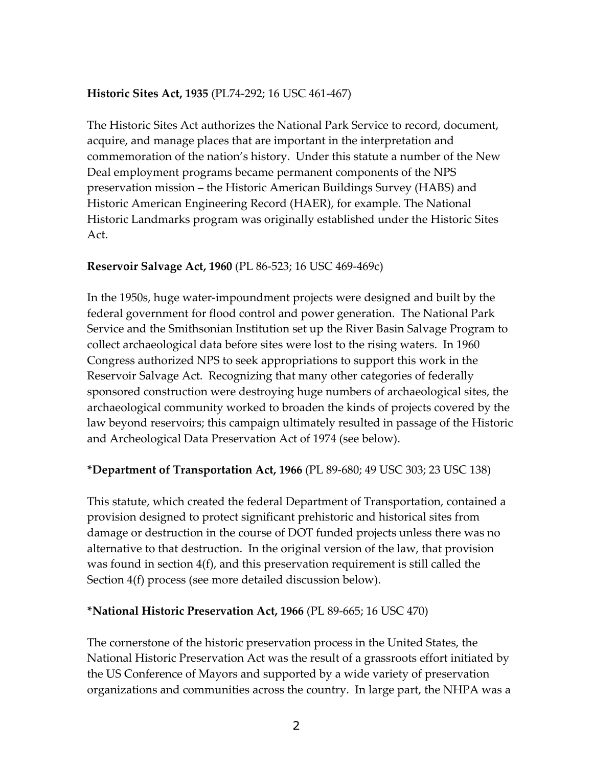## **Historic Sites Act, 1935** (PL74-292; 16 USC 461-467)

The Historic Sites Act authorizes the National Park Service to record, document, acquire, and manage places that are important in the interpretation and commemoration of the nation's history. Under this statute a number of the New Deal employment programs became permanent components of the NPS preservation mission – the Historic American Buildings Survey (HABS) and Historic American Engineering Record (HAER), for example. The National Historic Landmarks program was originally established under the Historic Sites Act.

## **Reservoir Salvage Act, 1960** (PL 86-523; 16 USC 469-469c)

In the 1950s, huge water-impoundment projects were designed and built by the federal government for flood control and power generation. The National Park Service and the Smithsonian Institution set up the River Basin Salvage Program to collect archaeological data before sites were lost to the rising waters. In 1960 Congress authorized NPS to seek appropriations to support this work in the Reservoir Salvage Act. Recognizing that many other categories of federally sponsored construction were destroying huge numbers of archaeological sites, the archaeological community worked to broaden the kinds of projects covered by the law beyond reservoirs; this campaign ultimately resulted in passage of the Historic and Archeological Data Preservation Act of 1974 (see below).

## **\*Department of Transportation Act, 1966** (PL 89-680; 49 USC 303; 23 USC 138)

This statute, which created the federal Department of Transportation, contained a provision designed to protect significant prehistoric and historical sites from damage or destruction in the course of DOT funded projects unless there was no alternative to that destruction. In the original version of the law, that provision was found in section 4(f), and this preservation requirement is still called the Section 4(f) process (see more detailed discussion below).

## **\*National Historic Preservation Act, 1966** (PL 89-665; 16 USC 470)

The cornerstone of the historic preservation process in the United States, the National Historic Preservation Act was the result of a grassroots effort initiated by the US Conference of Mayors and supported by a wide variety of preservation organizations and communities across the country. In large part, the NHPA was a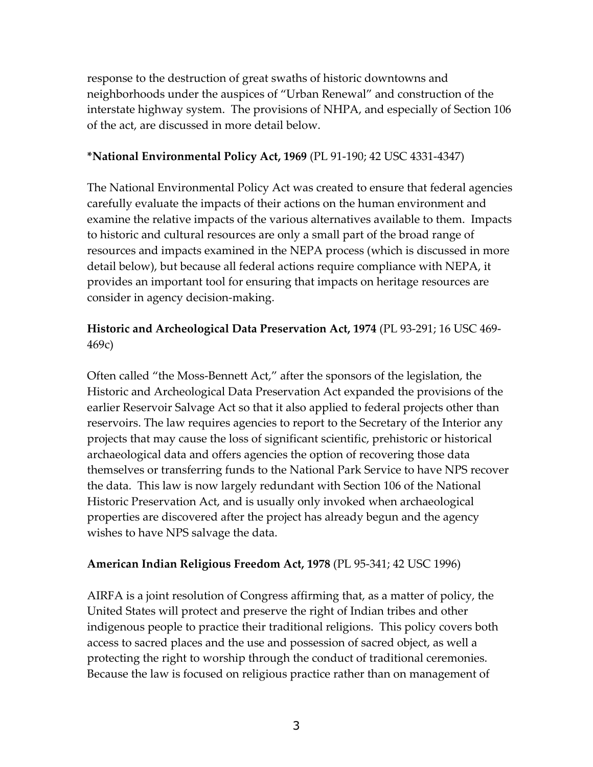response to the destruction of great swaths of historic downtowns and neighborhoods under the auspices of "Urban Renewal" and construction of the interstate highway system. The provisions of NHPA, and especially of Section 106 of the act, are discussed in more detail below.

## **\*National Environmental Policy Act, 1969** (PL 91-190; 42 USC 4331-4347)

The National Environmental Policy Act was created to ensure that federal agencies carefully evaluate the impacts of their actions on the human environment and examine the relative impacts of the various alternatives available to them. Impacts to historic and cultural resources are only a small part of the broad range of resources and impacts examined in the NEPA process (which is discussed in more detail below), but because all federal actions require compliance with NEPA, it provides an important tool for ensuring that impacts on heritage resources are consider in agency decision-making.

## **Historic and Archeological Data Preservation Act, 1974** (PL 93-291; 16 USC 469- 469c)

Often called "the Moss-Bennett Act," after the sponsors of the legislation, the Historic and Archeological Data Preservation Act expanded the provisions of the earlier Reservoir Salvage Act so that it also applied to federal projects other than reservoirs. The law requires agencies to report to the Secretary of the Interior any projects that may cause the loss of significant scientific, prehistoric or historical archaeological data and offers agencies the option of recovering those data themselves or transferring funds to the National Park Service to have NPS recover the data. This law is now largely redundant with Section 106 of the National Historic Preservation Act, and is usually only invoked when archaeological properties are discovered after the project has already begun and the agency wishes to have NPS salvage the data.

## **American Indian Religious Freedom Act, 1978** (PL 95-341; 42 USC 1996)

AIRFA is a joint resolution of Congress affirming that, as a matter of policy, the United States will protect and preserve the right of Indian tribes and other indigenous people to practice their traditional religions. This policy covers both access to sacred places and the use and possession of sacred object, as well a protecting the right to worship through the conduct of traditional ceremonies. Because the law is focused on religious practice rather than on management of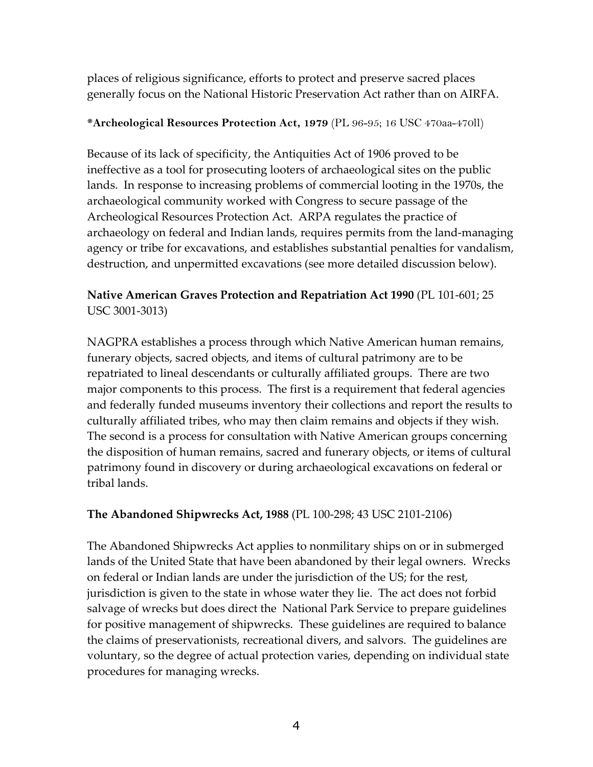places of religious significance, efforts to protect and preserve sacred places generally focus on the National Historic Preservation Act rather than on AIRFA.

## **\*Archeological Resources Protection Act, 1979** (PL 96-95; 16 USC 470aa-470ll)

Because of its lack of specificity, the Antiquities Act of 1906 proved to be ineffective as a tool for prosecuting looters of archaeological sites on the public lands. In response to increasing problems of commercial looting in the 1970s, the archaeological community worked with Congress to secure passage of the Archeological Resources Protection Act. ARPA regulates the practice of archaeology on federal and Indian lands, requires permits from the land-managing agency or tribe for excavations, and establishes substantial penalties for vandalism, destruction, and unpermitted excavations (see more detailed discussion below).

# **Native American Graves Protection and Repatriation Act 1990** (PL 101-601; 25 USC 3001-3013)

NAGPRA establishes a process through which Native American human remains, funerary objects, sacred objects, and items of cultural patrimony are to be repatriated to lineal descendants or culturally affiliated groups. There are two major components to this process. The first is a requirement that federal agencies and federally funded museums inventory their collections and report the results to culturally affiliated tribes, who may then claim remains and objects if they wish. The second is a process for consultation with Native American groups concerning the disposition of human remains, sacred and funerary objects, or items of cultural patrimony found in discovery or during archaeological excavations on federal or tribal lands.

# **The Abandoned Shipwrecks Act, 1988** (PL 100-298; 43 USC 2101-2106)

The Abandoned Shipwrecks Act applies to nonmilitary ships on or in submerged lands of the United State that have been abandoned by their legal owners. Wrecks on federal or Indian lands are under the jurisdiction of the US; for the rest, jurisdiction is given to the state in whose water they lie. The act does not forbid salvage of wrecks but does direct the National Park Service to prepare guidelines for positive management of shipwrecks. These guidelines are required to balance the claims of preservationists, recreational divers, and salvors. The guidelines are voluntary, so the degree of actual protection varies, depending on individual state procedures for managing wrecks.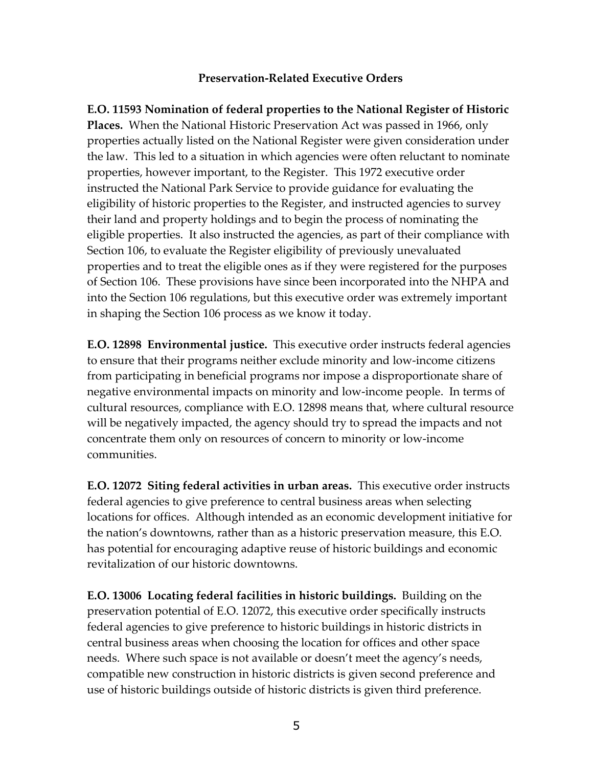## **Preservation-Related Executive Orders**

**E.O. 11593 Nomination of federal properties to the National Register of Historic Places.** When the National Historic Preservation Act was passed in 1966, only properties actually listed on the National Register were given consideration under the law. This led to a situation in which agencies were often reluctant to nominate properties, however important, to the Register. This 1972 executive order instructed the National Park Service to provide guidance for evaluating the eligibility of historic properties to the Register, and instructed agencies to survey their land and property holdings and to begin the process of nominating the eligible properties. It also instructed the agencies, as part of their compliance with Section 106, to evaluate the Register eligibility of previously unevaluated properties and to treat the eligible ones as if they were registered for the purposes of Section 106. These provisions have since been incorporated into the NHPA and into the Section 106 regulations, but this executive order was extremely important in shaping the Section 106 process as we know it today.

**E.O. 12898 Environmental justice.** This executive order instructs federal agencies to ensure that their programs neither exclude minority and low-income citizens from participating in beneficial programs nor impose a disproportionate share of negative environmental impacts on minority and low-income people. In terms of cultural resources, compliance with E.O. 12898 means that, where cultural resource will be negatively impacted, the agency should try to spread the impacts and not concentrate them only on resources of concern to minority or low-income communities.

**E.O. 12072 Siting federal activities in urban areas.** This executive order instructs federal agencies to give preference to central business areas when selecting locations for offices. Although intended as an economic development initiative for the nation's downtowns, rather than as a historic preservation measure, this E.O. has potential for encouraging adaptive reuse of historic buildings and economic revitalization of our historic downtowns.

**E.O. 13006 Locating federal facilities in historic buildings.** Building on the preservation potential of E.O. 12072, this executive order specifically instructs federal agencies to give preference to historic buildings in historic districts in central business areas when choosing the location for offices and other space needs. Where such space is not available or doesn't meet the agency's needs, compatible new construction in historic districts is given second preference and use of historic buildings outside of historic districts is given third preference.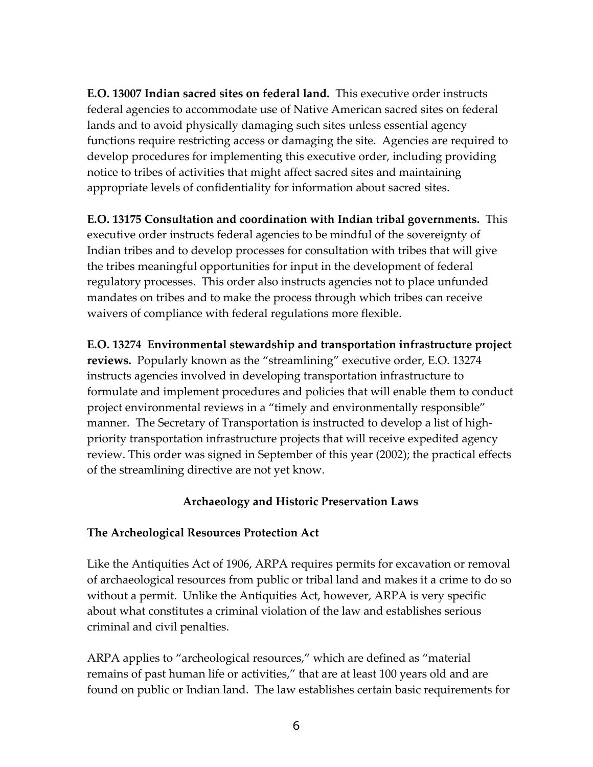**E.O. 13007 Indian sacred sites on federal land.** This executive order instructs federal agencies to accommodate use of Native American sacred sites on federal lands and to avoid physically damaging such sites unless essential agency functions require restricting access or damaging the site. Agencies are required to develop procedures for implementing this executive order, including providing notice to tribes of activities that might affect sacred sites and maintaining appropriate levels of confidentiality for information about sacred sites.

**E.O. 13175 Consultation and coordination with Indian tribal governments.** This executive order instructs federal agencies to be mindful of the sovereignty of Indian tribes and to develop processes for consultation with tribes that will give the tribes meaningful opportunities for input in the development of federal regulatory processes. This order also instructs agencies not to place unfunded mandates on tribes and to make the process through which tribes can receive waivers of compliance with federal regulations more flexible.

**E.O. 13274 Environmental stewardship and transportation infrastructure project reviews.** Popularly known as the "streamlining" executive order, E.O. 13274 instructs agencies involved in developing transportation infrastructure to formulate and implement procedures and policies that will enable them to conduct project environmental reviews in a "timely and environmentally responsible" manner. The Secretary of Transportation is instructed to develop a list of highpriority transportation infrastructure projects that will receive expedited agency review. This order was signed in September of this year (2002); the practical effects of the streamlining directive are not yet know.

## **Archaeology and Historic Preservation Laws**

## **The Archeological Resources Protection Act**

Like the Antiquities Act of 1906, ARPA requires permits for excavation or removal of archaeological resources from public or tribal land and makes it a crime to do so without a permit. Unlike the Antiquities Act, however, ARPA is very specific about what constitutes a criminal violation of the law and establishes serious criminal and civil penalties.

ARPA applies to "archeological resources," which are defined as "material remains of past human life or activities," that are at least 100 years old and are found on public or Indian land. The law establishes certain basic requirements for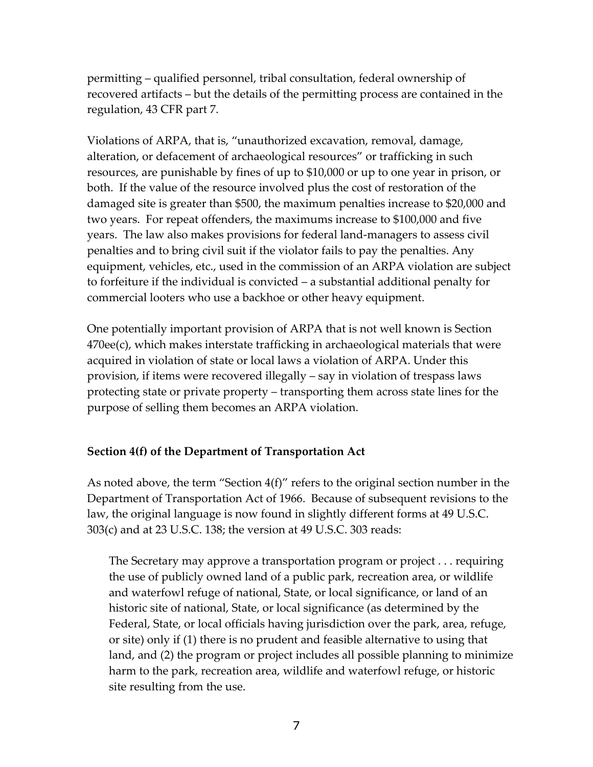permitting – qualified personnel, tribal consultation, federal ownership of recovered artifacts – but the details of the permitting process are contained in the regulation, 43 CFR part 7.

Violations of ARPA, that is, "unauthorized excavation, removal, damage, alteration, or defacement of archaeological resources" or trafficking in such resources, are punishable by fines of up to \$10,000 or up to one year in prison, or both. If the value of the resource involved plus the cost of restoration of the damaged site is greater than \$500, the maximum penalties increase to \$20,000 and two years. For repeat offenders, the maximums increase to \$100,000 and five years. The law also makes provisions for federal land-managers to assess civil penalties and to bring civil suit if the violator fails to pay the penalties. Any equipment, vehicles, etc., used in the commission of an ARPA violation are subject to forfeiture if the individual is convicted – a substantial additional penalty for commercial looters who use a backhoe or other heavy equipment.

One potentially important provision of ARPA that is not well known is Section 470ee(c), which makes interstate trafficking in archaeological materials that were acquired in violation of state or local laws a violation of ARPA. Under this provision, if items were recovered illegally – say in violation of trespass laws protecting state or private property – transporting them across state lines for the purpose of selling them becomes an ARPA violation.

## **Section 4(f) of the Department of Transportation Act**

As noted above, the term "Section 4(f)" refers to the original section number in the Department of Transportation Act of 1966. Because of subsequent revisions to the law, the original language is now found in slightly different forms at 49 U.S.C. 303(c) and at 23 U.S.C. 138; the version at 49 U.S.C. 303 reads:

The Secretary may approve a transportation program or project . . . requiring the use of publicly owned land of a public park, recreation area, or wildlife and waterfowl refuge of national, State, or local significance, or land of an historic site of national, State, or local significance (as determined by the Federal, State, or local officials having jurisdiction over the park, area, refuge, or site) only if (1) there is no prudent and feasible alternative to using that land, and (2) the program or project includes all possible planning to minimize harm to the park, recreation area, wildlife and waterfowl refuge, or historic site resulting from the use.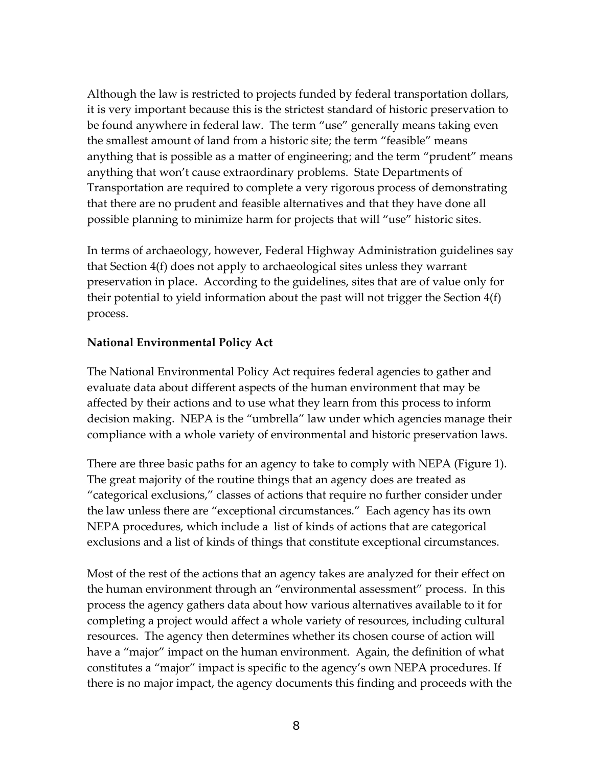Although the law is restricted to projects funded by federal transportation dollars, it is very important because this is the strictest standard of historic preservation to be found anywhere in federal law. The term "use" generally means taking even the smallest amount of land from a historic site; the term "feasible" means anything that is possible as a matter of engineering; and the term "prudent" means anything that won't cause extraordinary problems. State Departments of Transportation are required to complete a very rigorous process of demonstrating that there are no prudent and feasible alternatives and that they have done all possible planning to minimize harm for projects that will "use" historic sites.

In terms of archaeology, however, Federal Highway Administration guidelines say that Section 4(f) does not apply to archaeological sites unless they warrant preservation in place. According to the guidelines, sites that are of value only for their potential to yield information about the past will not trigger the Section 4(f) process.

## **National Environmental Policy Act**

The National Environmental Policy Act requires federal agencies to gather and evaluate data about different aspects of the human environment that may be affected by their actions and to use what they learn from this process to inform decision making. NEPA is the "umbrella" law under which agencies manage their compliance with a whole variety of environmental and historic preservation laws.

There are three basic paths for an agency to take to comply with NEPA (Figure 1). The great majority of the routine things that an agency does are treated as "categorical exclusions," classes of actions that require no further consider under the law unless there are "exceptional circumstances." Each agency has its own NEPA procedures, which include a list of kinds of actions that are categorical exclusions and a list of kinds of things that constitute exceptional circumstances.

Most of the rest of the actions that an agency takes are analyzed for their effect on the human environment through an "environmental assessment" process. In this process the agency gathers data about how various alternatives available to it for completing a project would affect a whole variety of resources, including cultural resources. The agency then determines whether its chosen course of action will have a "major" impact on the human environment. Again, the definition of what constitutes a "major" impact is specific to the agency's own NEPA procedures. If there is no major impact, the agency documents this finding and proceeds with the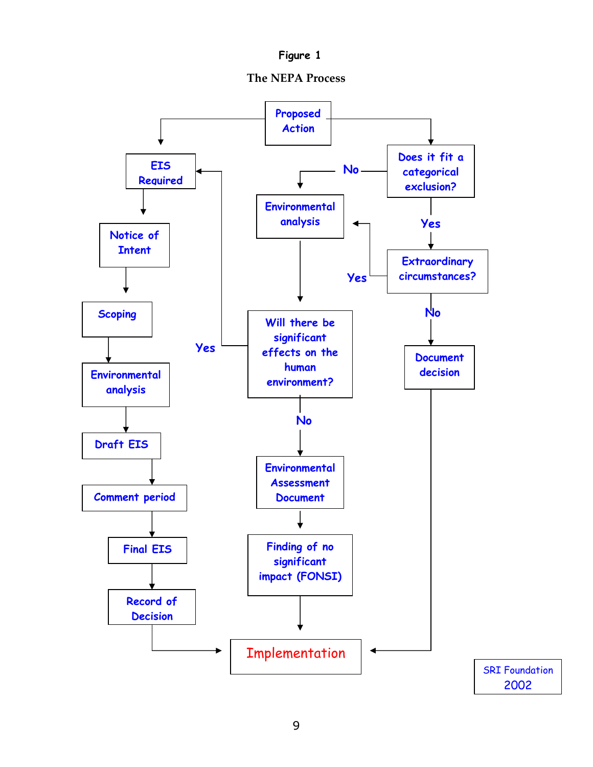

**The NEPA Process** 

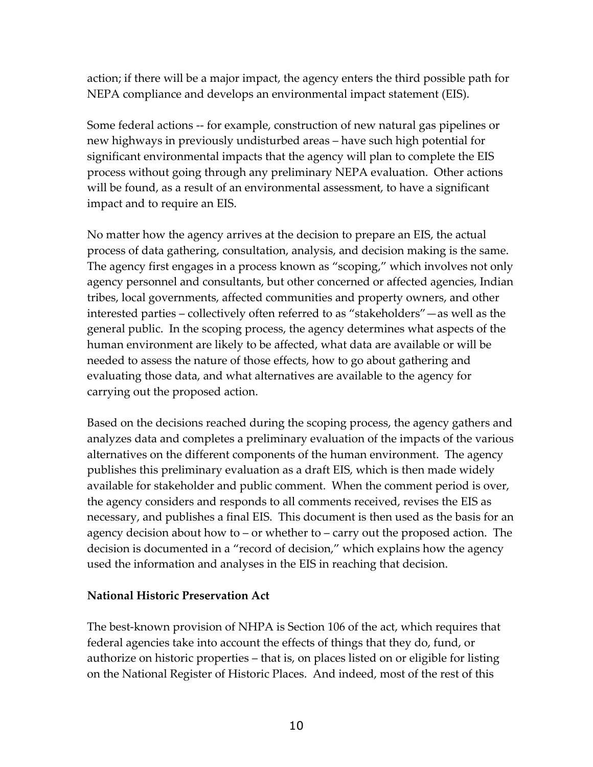action; if there will be a major impact, the agency enters the third possible path for NEPA compliance and develops an environmental impact statement (EIS).

Some federal actions -- for example, construction of new natural gas pipelines or new highways in previously undisturbed areas – have such high potential for significant environmental impacts that the agency will plan to complete the EIS process without going through any preliminary NEPA evaluation. Other actions will be found, as a result of an environmental assessment, to have a significant impact and to require an EIS.

No matter how the agency arrives at the decision to prepare an EIS, the actual process of data gathering, consultation, analysis, and decision making is the same. The agency first engages in a process known as "scoping," which involves not only agency personnel and consultants, but other concerned or affected agencies, Indian tribes, local governments, affected communities and property owners, and other interested parties – collectively often referred to as "stakeholders"—as well as the general public. In the scoping process, the agency determines what aspects of the human environment are likely to be affected, what data are available or will be needed to assess the nature of those effects, how to go about gathering and evaluating those data, and what alternatives are available to the agency for carrying out the proposed action.

Based on the decisions reached during the scoping process, the agency gathers and analyzes data and completes a preliminary evaluation of the impacts of the various alternatives on the different components of the human environment. The agency publishes this preliminary evaluation as a draft EIS, which is then made widely available for stakeholder and public comment. When the comment period is over, the agency considers and responds to all comments received, revises the EIS as necessary, and publishes a final EIS. This document is then used as the basis for an agency decision about how to – or whether to – carry out the proposed action. The decision is documented in a "record of decision," which explains how the agency used the information and analyses in the EIS in reaching that decision.

## **National Historic Preservation Act**

The best-known provision of NHPA is Section 106 of the act, which requires that federal agencies take into account the effects of things that they do, fund, or authorize on historic properties – that is, on places listed on or eligible for listing on the National Register of Historic Places. And indeed, most of the rest of this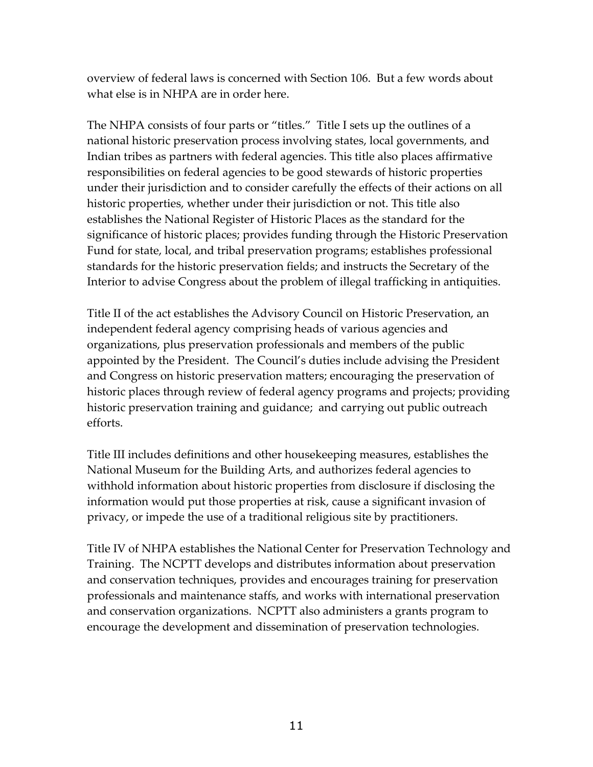overview of federal laws is concerned with Section 106. But a few words about what else is in NHPA are in order here.

The NHPA consists of four parts or "titles." Title I sets up the outlines of a national historic preservation process involving states, local governments, and Indian tribes as partners with federal agencies. This title also places affirmative responsibilities on federal agencies to be good stewards of historic properties under their jurisdiction and to consider carefully the effects of their actions on all historic properties, whether under their jurisdiction or not. This title also establishes the National Register of Historic Places as the standard for the significance of historic places; provides funding through the Historic Preservation Fund for state, local, and tribal preservation programs; establishes professional standards for the historic preservation fields; and instructs the Secretary of the Interior to advise Congress about the problem of illegal trafficking in antiquities.

Title II of the act establishes the Advisory Council on Historic Preservation, an independent federal agency comprising heads of various agencies and organizations, plus preservation professionals and members of the public appointed by the President. The Council's duties include advising the President and Congress on historic preservation matters; encouraging the preservation of historic places through review of federal agency programs and projects; providing historic preservation training and guidance; and carrying out public outreach efforts.

Title III includes definitions and other housekeeping measures, establishes the National Museum for the Building Arts, and authorizes federal agencies to withhold information about historic properties from disclosure if disclosing the information would put those properties at risk, cause a significant invasion of privacy, or impede the use of a traditional religious site by practitioners.

Title IV of NHPA establishes the National Center for Preservation Technology and Training. The NCPTT develops and distributes information about preservation and conservation techniques, provides and encourages training for preservation professionals and maintenance staffs, and works with international preservation and conservation organizations. NCPTT also administers a grants program to encourage the development and dissemination of preservation technologies.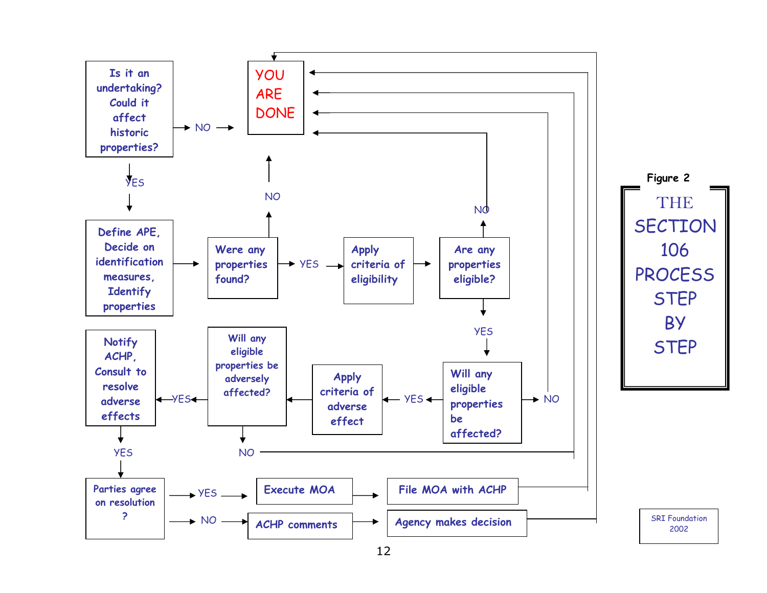

12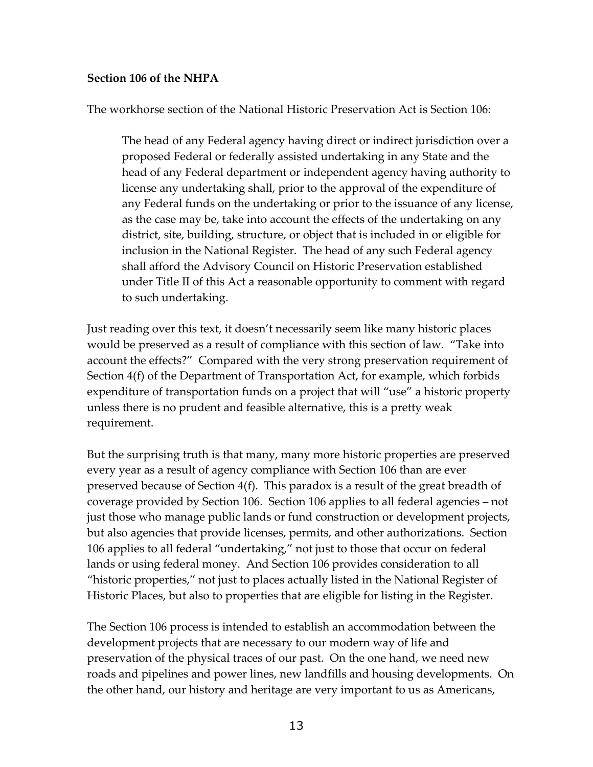## **Section 106 of the NHPA**

The workhorse section of the National Historic Preservation Act is Section 106:

The head of any Federal agency having direct or indirect jurisdiction over a proposed Federal or federally assisted undertaking in any State and the head of any Federal department or independent agency having authority to license any undertaking shall, prior to the approval of the expenditure of any Federal funds on the undertaking or prior to the issuance of any license, as the case may be, take into account the effects of the undertaking on any district, site, building, structure, or object that is included in or eligible for inclusion in the National Register. The head of any such Federal agency shall afford the Advisory Council on Historic Preservation established under Title II of this Act a reasonable opportunity to comment with regard to such undertaking.

Just reading over this text, it doesn't necessarily seem like many historic places would be preserved as a result of compliance with this section of law. "Take into account the effects?" Compared with the very strong preservation requirement of Section 4(f) of the Department of Transportation Act, for example, which forbids expenditure of transportation funds on a project that will "use" a historic property unless there is no prudent and feasible alternative, this is a pretty weak requirement.

But the surprising truth is that many, many more historic properties are preserved every year as a result of agency compliance with Section 106 than are ever preserved because of Section 4(f). This paradox is a result of the great breadth of coverage provided by Section 106. Section 106 applies to all federal agencies – not just those who manage public lands or fund construction or development projects, but also agencies that provide licenses, permits, and other authorizations. Section 106 applies to all federal "undertaking," not just to those that occur on federal lands or using federal money. And Section 106 provides consideration to all "historic properties," not just to places actually listed in the National Register of Historic Places, but also to properties that are eligible for listing in the Register.

The Section 106 process is intended to establish an accommodation between the development projects that are necessary to our modern way of life and preservation of the physical traces of our past. On the one hand, we need new roads and pipelines and power lines, new landfills and housing developments. On the other hand, our history and heritage are very important to us as Americans,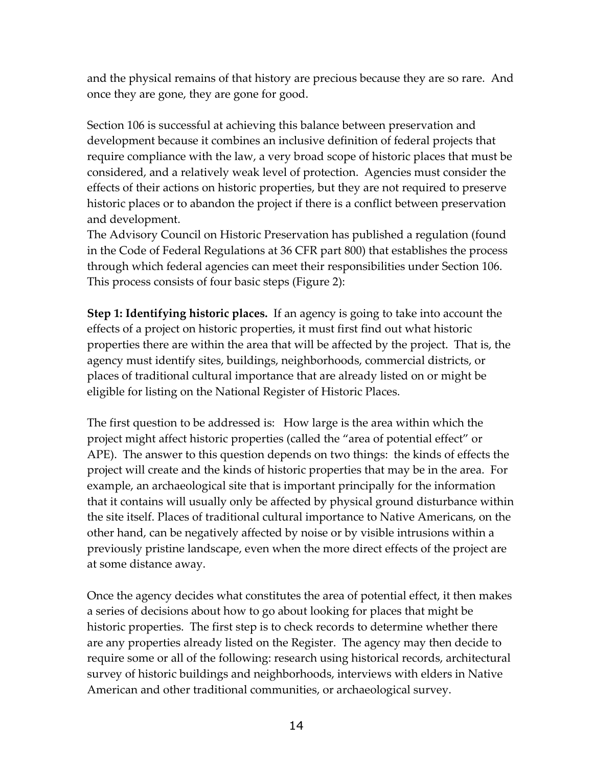and the physical remains of that history are precious because they are so rare. And once they are gone, they are gone for good.

Section 106 is successful at achieving this balance between preservation and development because it combines an inclusive definition of federal projects that require compliance with the law, a very broad scope of historic places that must be considered, and a relatively weak level of protection. Agencies must consider the effects of their actions on historic properties, but they are not required to preserve historic places or to abandon the project if there is a conflict between preservation and development.

The Advisory Council on Historic Preservation has published a regulation (found in the Code of Federal Regulations at 36 CFR part 800) that establishes the process through which federal agencies can meet their responsibilities under Section 106. This process consists of four basic steps (Figure 2):

**Step 1: Identifying historic places.** If an agency is going to take into account the effects of a project on historic properties, it must first find out what historic properties there are within the area that will be affected by the project. That is, the agency must identify sites, buildings, neighborhoods, commercial districts, or places of traditional cultural importance that are already listed on or might be eligible for listing on the National Register of Historic Places.

The first question to be addressed is: How large is the area within which the project might affect historic properties (called the "area of potential effect" or APE). The answer to this question depends on two things: the kinds of effects the project will create and the kinds of historic properties that may be in the area. For example, an archaeological site that is important principally for the information that it contains will usually only be affected by physical ground disturbance within the site itself. Places of traditional cultural importance to Native Americans, on the other hand, can be negatively affected by noise or by visible intrusions within a previously pristine landscape, even when the more direct effects of the project are at some distance away.

Once the agency decides what constitutes the area of potential effect, it then makes a series of decisions about how to go about looking for places that might be historic properties. The first step is to check records to determine whether there are any properties already listed on the Register. The agency may then decide to require some or all of the following: research using historical records, architectural survey of historic buildings and neighborhoods, interviews with elders in Native American and other traditional communities, or archaeological survey.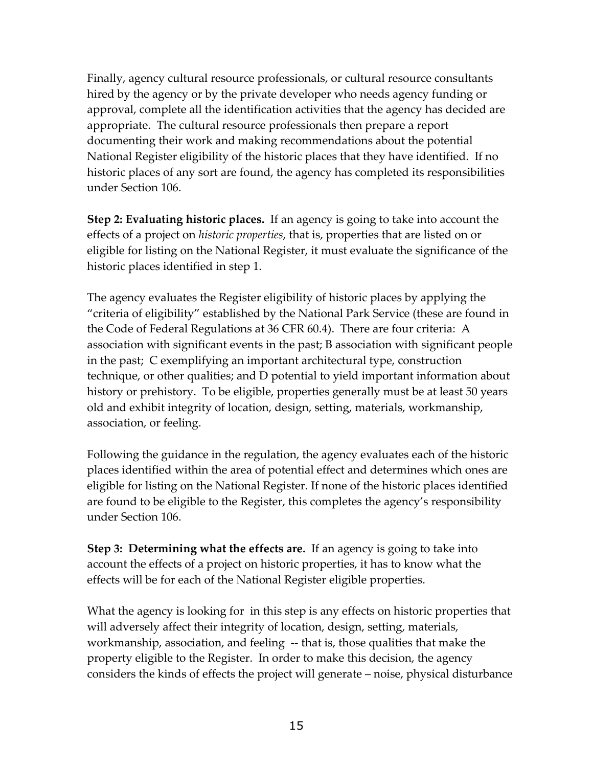Finally, agency cultural resource professionals, or cultural resource consultants hired by the agency or by the private developer who needs agency funding or approval, complete all the identification activities that the agency has decided are appropriate. The cultural resource professionals then prepare a report documenting their work and making recommendations about the potential National Register eligibility of the historic places that they have identified. If no historic places of any sort are found, the agency has completed its responsibilities under Section 106.

**Step 2: Evaluating historic places.** If an agency is going to take into account the effects of a project on *historic properties*, that is, properties that are listed on or eligible for listing on the National Register, it must evaluate the significance of the historic places identified in step 1.

The agency evaluates the Register eligibility of historic places by applying the "criteria of eligibility" established by the National Park Service (these are found in the Code of Federal Regulations at 36 CFR 60.4). There are four criteria: A association with significant events in the past; B association with significant people in the past; C exemplifying an important architectural type, construction technique, or other qualities; and D potential to yield important information about history or prehistory. To be eligible, properties generally must be at least 50 years old and exhibit integrity of location, design, setting, materials, workmanship, association, or feeling.

Following the guidance in the regulation, the agency evaluates each of the historic places identified within the area of potential effect and determines which ones are eligible for listing on the National Register. If none of the historic places identified are found to be eligible to the Register, this completes the agency's responsibility under Section 106.

**Step 3: Determining what the effects are.** If an agency is going to take into account the effects of a project on historic properties, it has to know what the effects will be for each of the National Register eligible properties.

What the agency is looking for in this step is any effects on historic properties that will adversely affect their integrity of location, design, setting, materials, workmanship, association, and feeling -- that is, those qualities that make the property eligible to the Register. In order to make this decision, the agency considers the kinds of effects the project will generate – noise, physical disturbance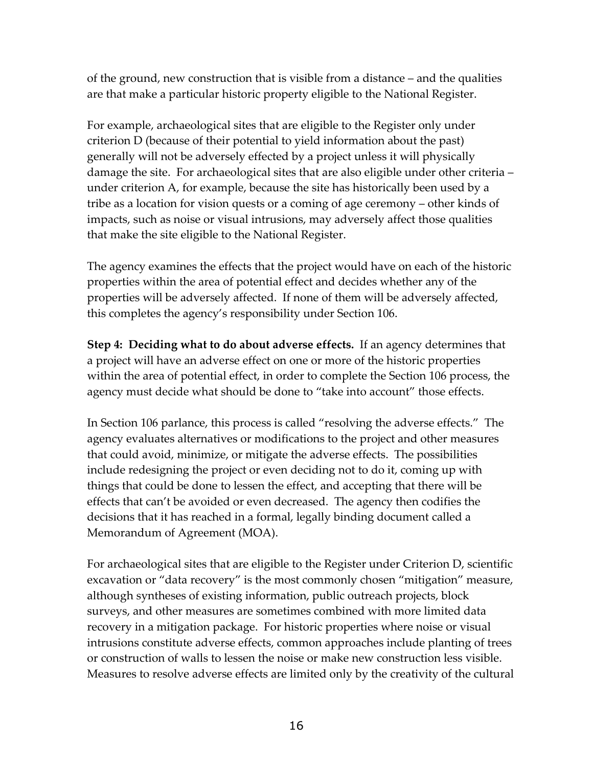of the ground, new construction that is visible from a distance – and the qualities are that make a particular historic property eligible to the National Register.

For example, archaeological sites that are eligible to the Register only under criterion D (because of their potential to yield information about the past) generally will not be adversely effected by a project unless it will physically damage the site. For archaeological sites that are also eligible under other criteria – under criterion A, for example, because the site has historically been used by a tribe as a location for vision quests or a coming of age ceremony – other kinds of impacts, such as noise or visual intrusions, may adversely affect those qualities that make the site eligible to the National Register.

The agency examines the effects that the project would have on each of the historic properties within the area of potential effect and decides whether any of the properties will be adversely affected. If none of them will be adversely affected, this completes the agency's responsibility under Section 106.

**Step 4: Deciding what to do about adverse effects.** If an agency determines that a project will have an adverse effect on one or more of the historic properties within the area of potential effect, in order to complete the Section 106 process, the agency must decide what should be done to "take into account" those effects.

In Section 106 parlance, this process is called "resolving the adverse effects." The agency evaluates alternatives or modifications to the project and other measures that could avoid, minimize, or mitigate the adverse effects. The possibilities include redesigning the project or even deciding not to do it, coming up with things that could be done to lessen the effect, and accepting that there will be effects that can't be avoided or even decreased. The agency then codifies the decisions that it has reached in a formal, legally binding document called a Memorandum of Agreement (MOA).

For archaeological sites that are eligible to the Register under Criterion D, scientific excavation or "data recovery" is the most commonly chosen "mitigation" measure, although syntheses of existing information, public outreach projects, block surveys, and other measures are sometimes combined with more limited data recovery in a mitigation package. For historic properties where noise or visual intrusions constitute adverse effects, common approaches include planting of trees or construction of walls to lessen the noise or make new construction less visible. Measures to resolve adverse effects are limited only by the creativity of the cultural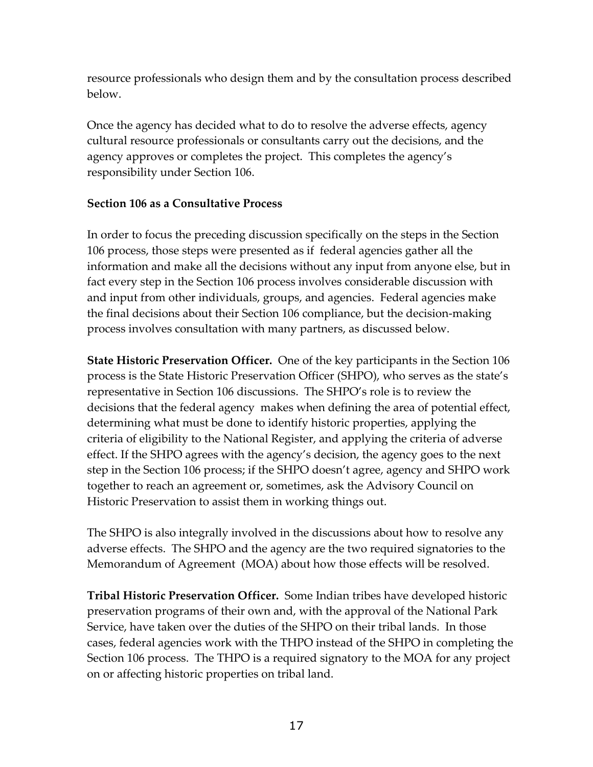resource professionals who design them and by the consultation process described below.

Once the agency has decided what to do to resolve the adverse effects, agency cultural resource professionals or consultants carry out the decisions, and the agency approves or completes the project. This completes the agency's responsibility under Section 106.

## **Section 106 as a Consultative Process**

In order to focus the preceding discussion specifically on the steps in the Section 106 process, those steps were presented as if federal agencies gather all the information and make all the decisions without any input from anyone else, but in fact every step in the Section 106 process involves considerable discussion with and input from other individuals, groups, and agencies. Federal agencies make the final decisions about their Section 106 compliance, but the decision-making process involves consultation with many partners, as discussed below.

**State Historic Preservation Officer.** One of the key participants in the Section 106 process is the State Historic Preservation Officer (SHPO), who serves as the state's representative in Section 106 discussions. The SHPO's role is to review the decisions that the federal agency makes when defining the area of potential effect, determining what must be done to identify historic properties, applying the criteria of eligibility to the National Register, and applying the criteria of adverse effect. If the SHPO agrees with the agency's decision, the agency goes to the next step in the Section 106 process; if the SHPO doesn't agree, agency and SHPO work together to reach an agreement or, sometimes, ask the Advisory Council on Historic Preservation to assist them in working things out.

The SHPO is also integrally involved in the discussions about how to resolve any adverse effects. The SHPO and the agency are the two required signatories to the Memorandum of Agreement (MOA) about how those effects will be resolved.

**Tribal Historic Preservation Officer.** Some Indian tribes have developed historic preservation programs of their own and, with the approval of the National Park Service, have taken over the duties of the SHPO on their tribal lands. In those cases, federal agencies work with the THPO instead of the SHPO in completing the Section 106 process. The THPO is a required signatory to the MOA for any project on or affecting historic properties on tribal land.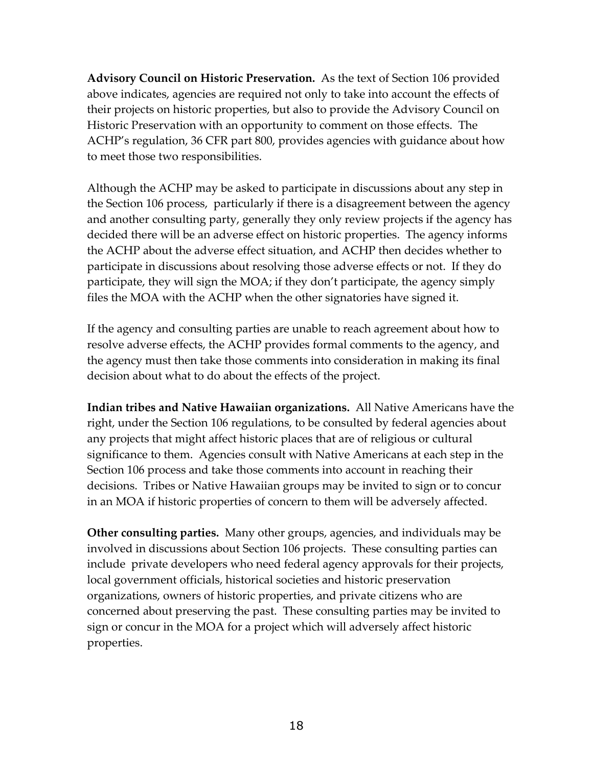**Advisory Council on Historic Preservation.** As the text of Section 106 provided above indicates, agencies are required not only to take into account the effects of their projects on historic properties, but also to provide the Advisory Council on Historic Preservation with an opportunity to comment on those effects. The ACHP's regulation, 36 CFR part 800, provides agencies with guidance about how to meet those two responsibilities.

Although the ACHP may be asked to participate in discussions about any step in the Section 106 process, particularly if there is a disagreement between the agency and another consulting party, generally they only review projects if the agency has decided there will be an adverse effect on historic properties. The agency informs the ACHP about the adverse effect situation, and ACHP then decides whether to participate in discussions about resolving those adverse effects or not. If they do participate, they will sign the MOA; if they don't participate, the agency simply files the MOA with the ACHP when the other signatories have signed it.

If the agency and consulting parties are unable to reach agreement about how to resolve adverse effects, the ACHP provides formal comments to the agency, and the agency must then take those comments into consideration in making its final decision about what to do about the effects of the project.

**Indian tribes and Native Hawaiian organizations.** All Native Americans have the right, under the Section 106 regulations, to be consulted by federal agencies about any projects that might affect historic places that are of religious or cultural significance to them. Agencies consult with Native Americans at each step in the Section 106 process and take those comments into account in reaching their decisions. Tribes or Native Hawaiian groups may be invited to sign or to concur in an MOA if historic properties of concern to them will be adversely affected.

**Other consulting parties.** Many other groups, agencies, and individuals may be involved in discussions about Section 106 projects. These consulting parties can include private developers who need federal agency approvals for their projects, local government officials, historical societies and historic preservation organizations, owners of historic properties, and private citizens who are concerned about preserving the past. These consulting parties may be invited to sign or concur in the MOA for a project which will adversely affect historic properties.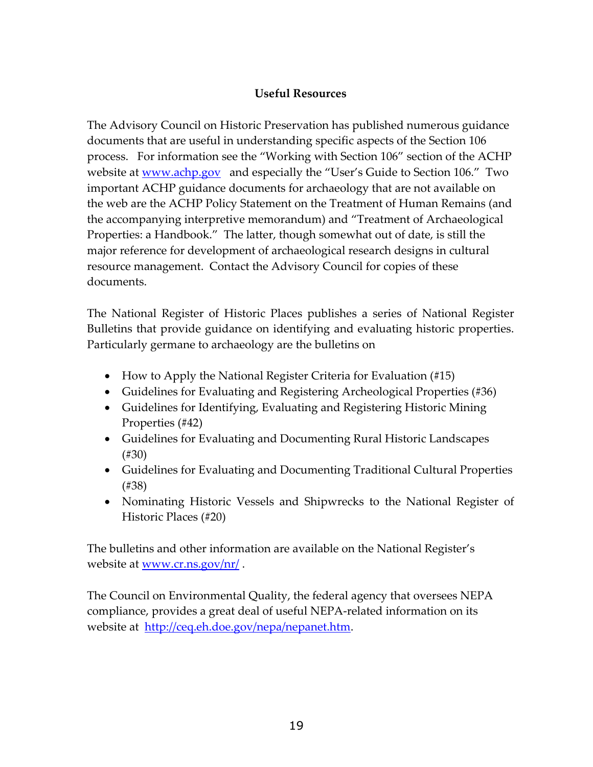## **Useful Resources**

The Advisory Council on Historic Preservation has published numerous guidance documents that are useful in understanding specific aspects of the Section 106 process. For information see the "Working with Section 106" section of the ACHP website at www.achp.gov and especially the "User's Guide to Section 106." Two important ACHP guidance documents for archaeology that are not available on the web are the ACHP Policy Statement on the Treatment of Human Remains (and the accompanying interpretive memorandum) and "Treatment of Archaeological Properties: a Handbook." The latter, though somewhat out of date, is still the major reference for development of archaeological research designs in cultural resource management. Contact the Advisory Council for copies of these documents.

The National Register of Historic Places publishes a series of National Register Bulletins that provide guidance on identifying and evaluating historic properties. Particularly germane to archaeology are the bulletins on

- How to Apply the National Register Criteria for Evaluation (#15)
- Guidelines for Evaluating and Registering Archeological Properties (#36)
- Guidelines for Identifying, Evaluating and Registering Historic Mining Properties (#42)
- Guidelines for Evaluating and Documenting Rural Historic Landscapes (#30)
- Guidelines for Evaluating and Documenting Traditional Cultural Properties (#38)
- Nominating Historic Vessels and Shipwrecks to the National Register of Historic Places (#20)

The bulletins and other information are available on the National Register's website at <u>www.cr.ns.gov/nr/</u>.

The Council on Environmental Quality, the federal agency that oversees NEPA compliance, provides a great deal of useful NEPA-related information on its website at http://ceq.eh.doe.gov/nepa/nepanet.htm.